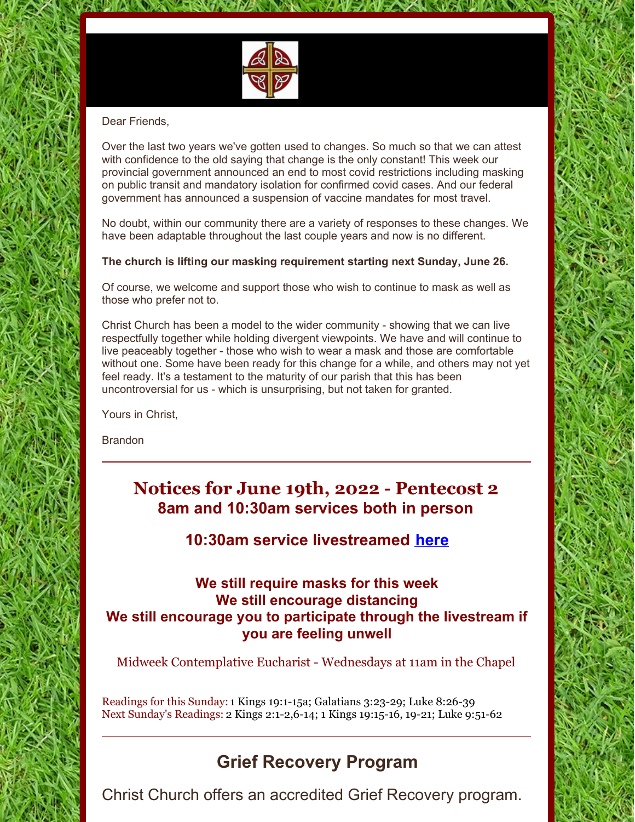

#### Dear Friends,

Over the last two years we've gotten used to changes. So much so that we can attest with confidence to the old saying that change is the only constant! This week our provincial government announced an end to most covid restrictions including masking on public transit and mandatory isolation for confirmed covid cases. And our federal government has announced a suspension of vaccine mandates for most travel.

**CRANNICAL MEAN SURFL** 

No doubt, within our community there are a variety of responses to these changes. We have been adaptable throughout the last couple years and now is no different.

#### **The church is lifting our masking requirement starting next Sunday, June 26.**

Of course, we welcome and support those who wish to continue to mask as well as those who prefer not to.

Christ Church has been a model to the wider community - showing that we can live respectfully together while holding divergent viewpoints. We have and will continue to live peaceably together - those who wish to wear a mask and those are comfortable without one. Some have been ready for this change for a while, and others may not yet feel ready. It's a testament to the maturity of our parish that this has been uncontroversial for us - which is unsurprising, but not taken for granted.

Yours in Christ,

Brandon

## **Notices for June 19th, 2022 - Pentecost 2 8am and 10:30am services both in person**

## **10:30am service livestreamed [here](https://youtu.be/wiaQaRwt2HM)**

## **We still require masks for this week We still encourage distancing We still encourage you to participate through the livestream if you are feeling unwell**

Midweek Contemplative Eucharist - Wednesdays at 11am in the Chapel

Readings for this Sunday: 1 Kings 19:1-15a; Galatians 3:23-29; Luke 8:26-39 Next Sunday's Readings: 2 Kings 2:1-2,6-14; 1 Kings 19:15-16, 19-21; Luke 9:51-62

## **Grief Recovery Program**

Christ Church offers an accredited Grief Recovery program.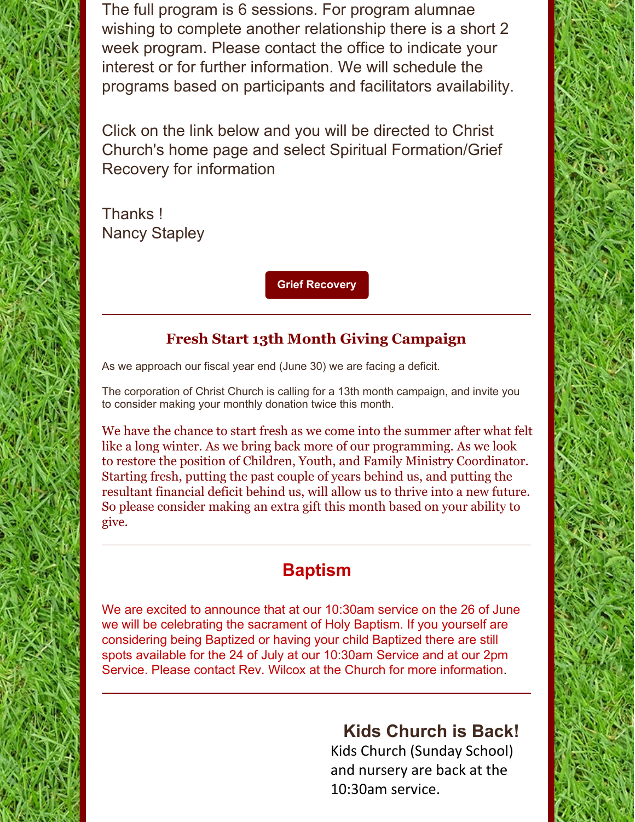The full program is 6 sessions. For program alumnae wishing to complete another relationship there is a short 2 week program. Please contact the office to indicate your interest or for further information. We will schedule the programs based on participants and facilitators availability.

Click on the link below and you will be directed to Christ Church's home page and select Spiritual Formation/Grief Recovery for information

Thanks ! Nancy Stapley

**Grief [Recovery](https://www.christchurchcalgary.org/)**

## **Fresh Start 13th Month Giving Campaign**

As we approach our fiscal year end (June 30) we are facing a deficit.

The corporation of Christ Church is calling for a 13th month campaign, and invite you to consider making your monthly donation twice this month.

We have the chance to start fresh as we come into the summer after what felt like a long winter. As we bring back more of our programming. As we look to restore the position of Children, Youth, and Family Ministry Coordinator. Starting fresh, putting the past couple of years behind us, and putting the resultant financial deficit behind us, will allow us to thrive into a new future. So please consider making an extra gift this month based on your ability to give.

# **Baptism**

We are excited to announce that at our 10:30am service on the 26 of June we will be celebrating the sacrament of Holy Baptism. If you yourself are considering being Baptized or having your child Baptized there are still spots available for the 24 of July at our 10:30am Service and at our 2pm Service. Please contact Rev. Wilcox at the Church for more information.

# **Kids Church is Back!**

Kids Church (Sunday School) and nursery are back at the 10:30am service.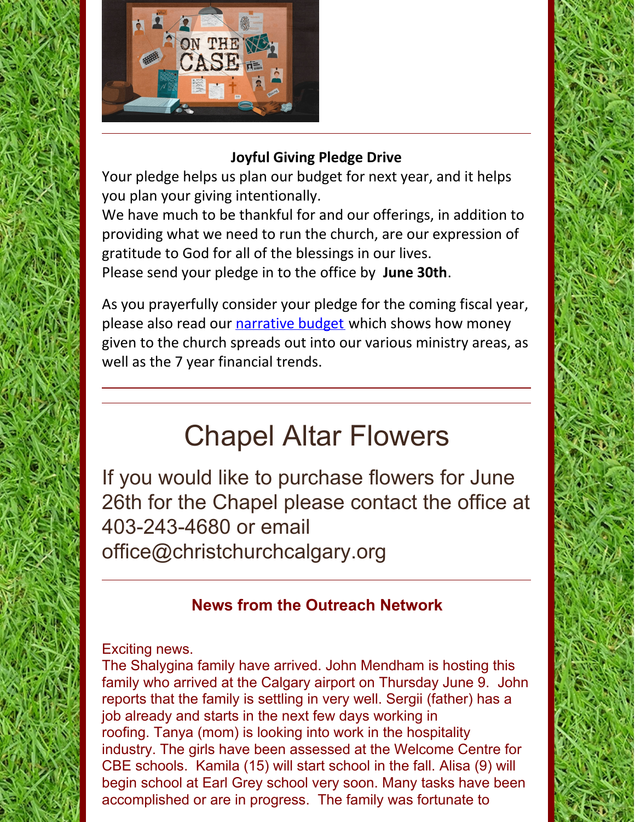

## **Joyful Giving Pledge Drive**

Your pledge helps us plan our budget for next year, and it helps you plan your giving intentionally.

We have much to be thankful for and our offerings, in addition to providing what we need to run the church, are our expression of gratitude to God for all of the blessings in our lives. Please send your pledge in to the office by **June 30th**.

As you prayerfully consider your pledge for the coming fiscal year, please also read our [narrative](https://files.constantcontact.com/ddb71f33401/a14489c9-b306-48b3-b824-0b397241aecd.pdf?rdr=true) budget which shows how money given to the church spreads out into our various ministry areas, as well as the 7 year financial trends.

# Chapel Altar Flowers

If you would like to purchase flowers for June 26th for the Chapel please contact the office at 403-243-4680 or email office@christchurchcalgary.org

## **News from the Outreach Network**

## Exciting news.

The Shalygina family have arrived. John Mendham is hosting this family who arrived at the Calgary airport on Thursday June 9. John reports that the family is settling in very well. Sergii (father) has a job already and starts in the next few days working in roofing. Tanya (mom) is looking into work in the hospitality industry. The girls have been assessed at the Welcome Centre for CBE schools. Kamila (15) will start school in the fall. Alisa (9) will begin school at Earl Grey school very soon. Many tasks have been accomplished or are in progress. The family was fortunate to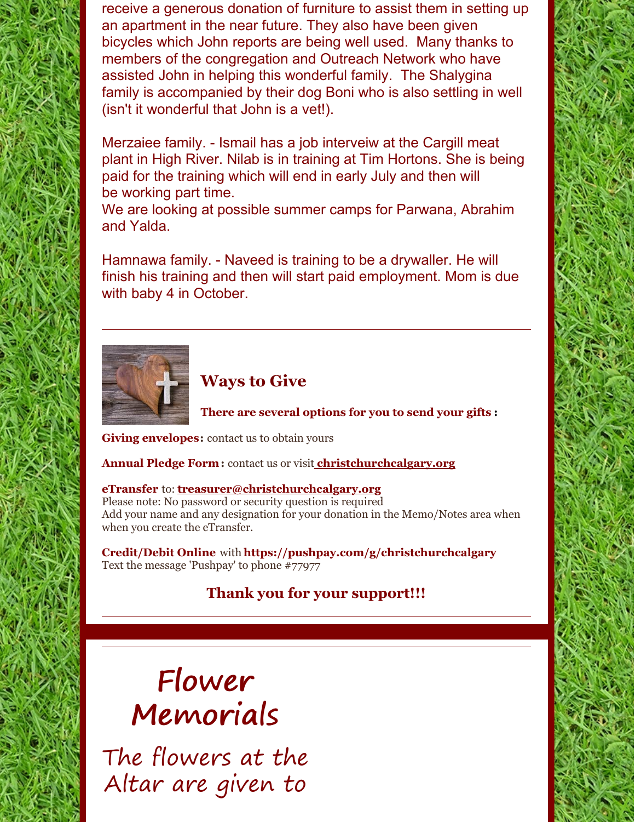receive a generous donation of furniture to assist them in setting up an apartment in the near future. They also have been given bicycles which John reports are being well used. Many thanks to members of the congregation and Outreach Network who have assisted John in helping this wonderful family. The Shalygina family is accompanied by their dog Boni who is also settling in well (isn't it wonderful that John is a vet!).

Merzaiee family. - Ismail has a job interveiw at the Cargill meat plant in High River. Nilab is in training at Tim Hortons. She is being paid for the training which will end in early July and then will be working part time.

We are looking at possible summer camps for Parwana, Abrahim and Yalda.

Hamnawa family. - Naveed is training to be a drywaller. He will finish his training and then will start paid employment. Mom is due with baby 4 in October.



## **Ways to Give**

**There are several options for you to send your gifts :**

**Giving envelopes:** contact us to obtain yours

**Annual Pledge Form:** contact us or visit **christchurchcalgary.org**

#### **eTransfer** to: **treasurer@christchurchcalgary.org**

Please note: No password or security question is required Add your name and any designation for your donation in the Memo/Notes area when when you create the eTransfer.

**Credit/Debit Online** with **https://pushpay.com/g/christchurchcalgary** Text the message 'Pushpay' to phone #77977

## **Thank you for your support!!!**

# Flower Memorials

The flowers at the Altar are given to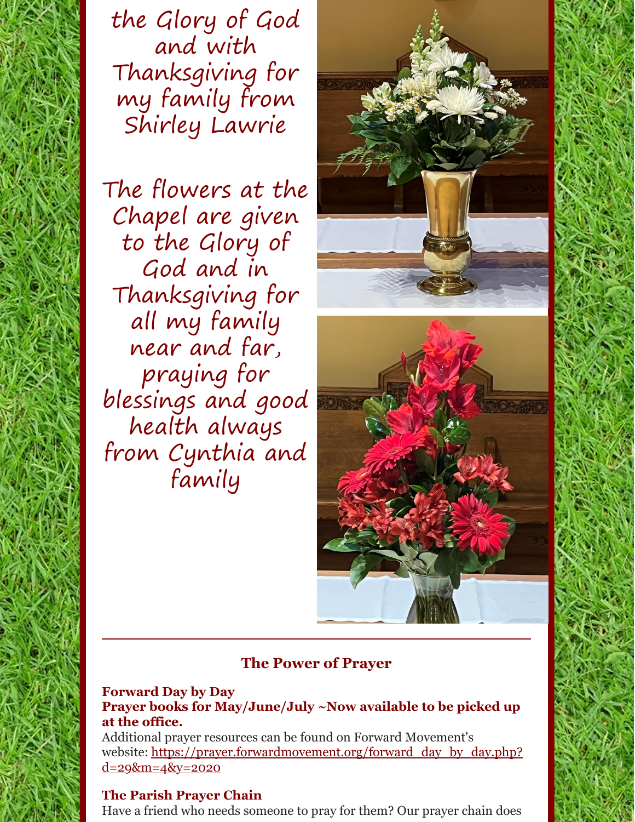the Glory of God and with Thanksgiving for my family from Shirley Lawrie

The flowers at the Chapel are given to the Glory of God and in Thanksgiving for all my family near and far, praying for blessings and good health always from Cynthia and family



## **The Power of Prayer**

#### **Forward Day by Day Prayer books for May/June/July ~Now available to be picked up at the office.**

Additional prayer resources can be found on Forward Movement's website: [https://prayer.forwardmovement.org/forward\\_day\\_by\\_day.php?](https://prayer.forwardmovement.org/forward_day_by_day.php?d=29&m=4&y=2020) <u>d=29&m=4&y=2020</u>

#### **The Parish Prayer Chain**

Have a friend who needs someone to pray for them? Our prayer chain does